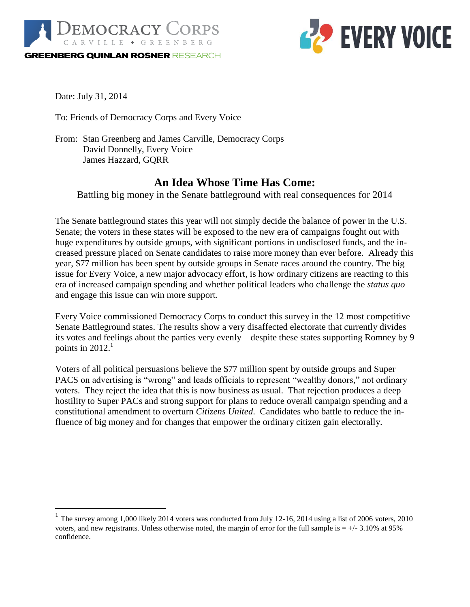



Date: July 31, 2014

 $\overline{a}$ 

To: Friends of Democracy Corps and Every Voice

From: Stan Greenberg and James Carville, Democracy Corps David Donnelly, Every Voice James Hazzard, GQRR

# **An Idea Whose Time Has Come:**

Battling big money in the Senate battleground with real consequences for 2014

The Senate battleground states this year will not simply decide the balance of power in the U.S. Senate; the voters in these states will be exposed to the new era of campaigns fought out with huge expenditures by outside groups, with significant portions in undisclosed funds, and the increased pressure placed on Senate candidates to raise more money than ever before. Already this year, \$77 million has been spent by outside groups in Senate races around the country. The big issue for Every Voice, a new major advocacy effort, is how ordinary citizens are reacting to this era of increased campaign spending and whether political leaders who challenge the *status quo* and engage this issue can win more support.

Every Voice commissioned Democracy Corps to conduct this survey in the 12 most competitive Senate Battleground states. The results show a very disaffected electorate that currently divides its votes and feelings about the parties very evenly – despite these states supporting Romney by 9 points in  $2012.<sup>1</sup>$ 

Voters of all political persuasions believe the \$77 million spent by outside groups and Super PACS on advertising is "wrong" and leads officials to represent "wealthy donors," not ordinary voters. They reject the idea that this is now business as usual. That rejection produces a deep hostility to Super PACs and strong support for plans to reduce overall campaign spending and a constitutional amendment to overturn *Citizens United*. Candidates who battle to reduce the influence of big money and for changes that empower the ordinary citizen gain electorally.

<sup>&</sup>lt;sup>1</sup> The survey among 1,000 likely 2014 voters was conducted from July 12-16, 2014 using a list of 2006 voters, 2010 voters, and new registrants. Unless otherwise noted, the margin of error for the full sample is  $= +/-3.10\%$  at 95% confidence.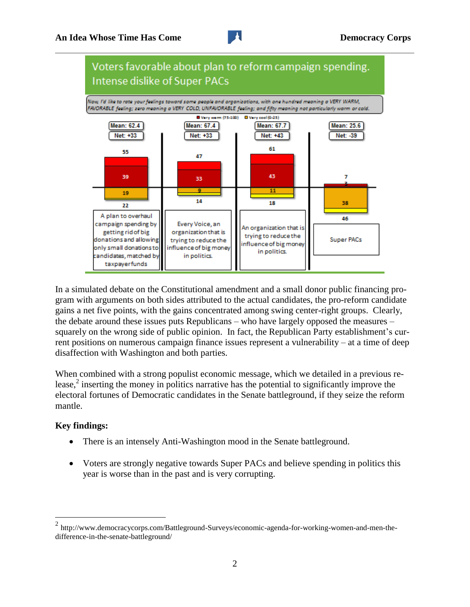

In a simulated debate on the Constitutional amendment and a small donor public financing program with arguments on both sides attributed to the actual candidates, the pro-reform candidate gains a net five points, with the gains concentrated among swing center-right groups. Clearly, the debate around these issues puts Republicans – who have largely opposed the measures – squarely on the wrong side of public opinion. In fact, the Republican Party establishment's current positions on numerous campaign finance issues represent a vulnerability – at a time of deep disaffection with Washington and both parties.

When combined with a strong populist economic message, which we detailed in a previous release,<sup>2</sup> inserting the money in politics narrative has the potential to significantly improve the electoral fortunes of Democratic candidates in the Senate battleground, if they seize the reform mantle.

## **Key findings:**

 $\overline{a}$ 

- There is an intensely Anti-Washington mood in the Senate battleground.
- Voters are strongly negative towards Super PACs and believe spending in politics this year is worse than in the past and is very corrupting.

 $2 \text{ http://www.democracycorps.com/Battleground-Surveys/economic-agenda-for-world's-working-women-and-men-the-}$ difference-in-the-senate-battleground/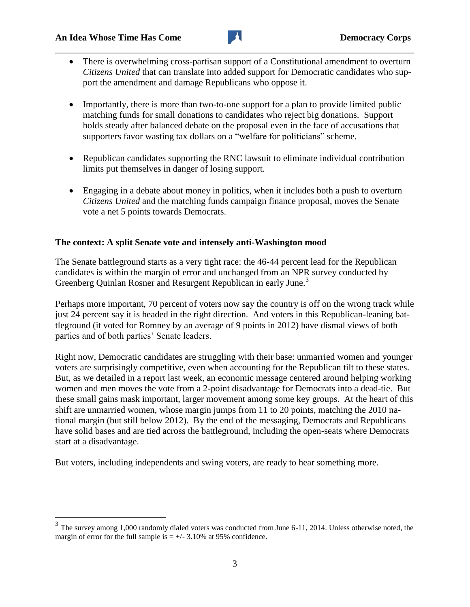$\overline{a}$ 



- There is overwhelming cross-partisan support of a Constitutional amendment to overturn *Citizens United* that can translate into added support for Democratic candidates who support the amendment and damage Republicans who oppose it.
- Importantly, there is more than two-to-one support for a plan to provide limited public matching funds for small donations to candidates who reject big donations. Support holds steady after balanced debate on the proposal even in the face of accusations that supporters favor wasting tax dollars on a "welfare for politicians" scheme.
- Republican candidates supporting the RNC lawsuit to eliminate individual contribution limits put themselves in danger of losing support.
- Engaging in a debate about money in politics, when it includes both a push to overturn *Citizens United* and the matching funds campaign finance proposal, moves the Senate vote a net 5 points towards Democrats.

## **The context: A split Senate vote and intensely anti-Washington mood**

The Senate battleground starts as a very tight race: the 46-44 percent lead for the Republican candidates is within the margin of error and unchanged from an NPR survey conducted by Greenberg Quinlan Rosner and Resurgent Republican in early June.<sup>3</sup>

Perhaps more important, 70 percent of voters now say the country is off on the wrong track while just 24 percent say it is headed in the right direction. And voters in this Republican-leaning battleground (it voted for Romney by an average of 9 points in 2012) have dismal views of both parties and of both parties' Senate leaders.

Right now, Democratic candidates are struggling with their base: unmarried women and younger voters are surprisingly competitive, even when accounting for the Republican tilt to these states. But, as we detailed in a report last week, an economic message centered around helping working women and men moves the vote from a 2-point disadvantage for Democrats into a dead-tie. But these small gains mask important, larger movement among some key groups. At the heart of this shift are unmarried women, whose margin jumps from 11 to 20 points, matching the 2010 national margin (but still below 2012). By the end of the messaging, Democrats and Republicans have solid bases and are tied across the battleground, including the open-seats where Democrats start at a disadvantage.

But voters, including independents and swing voters, are ready to hear something more.

 $3$  The survey among 1,000 randomly dialed voters was conducted from June 6-11, 2014. Unless otherwise noted, the margin of error for the full sample is  $= +/-3.10\%$  at 95% confidence.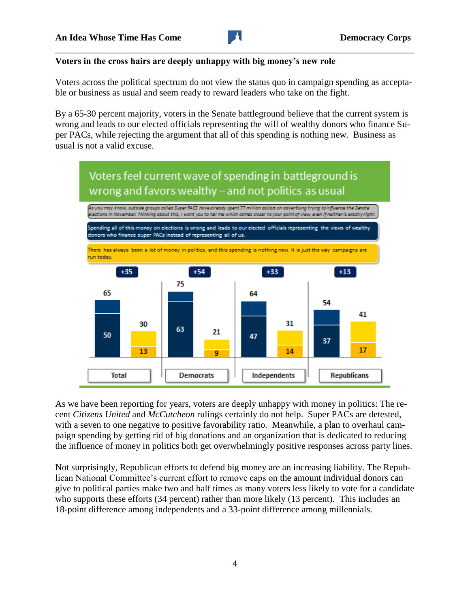

## **Voters in the cross hairs are deeply unhappy with big money's new role**

Voters across the political spectrum do not view the status quo in campaign spending as acceptable or business as usual and seem ready to reward leaders who take on the fight.

By a 65-30 percent majority, voters in the Senate battleground believe that the current system is wrong and leads to our elected officials representing the will of wealthy donors who finance Super PACs, while rejecting the argument that all of this spending is nothing new. Business as usual is not a valid excuse.



As we have been reporting for years, voters are deeply unhappy with money in politics: The recent *Citizens United* and *McCutcheon* rulings certainly do not help. Super PACs are detested, with a seven to one negative to positive favorability ratio. Meanwhile, a plan to overhaul campaign spending by getting rid of big donations and an organization that is dedicated to reducing the influence of money in politics both get overwhelmingly positive responses across party lines.

Not surprisingly, Republican efforts to defend big money are an increasing liability. The Republican National Committee's current effort to remove caps on the amount individual donors can give to political parties make two and half times as many voters less likely to vote for a candidate who supports these efforts (34 percent) rather than more likely (13 percent). This includes an 18-point difference among independents and a 33-point difference among millennials.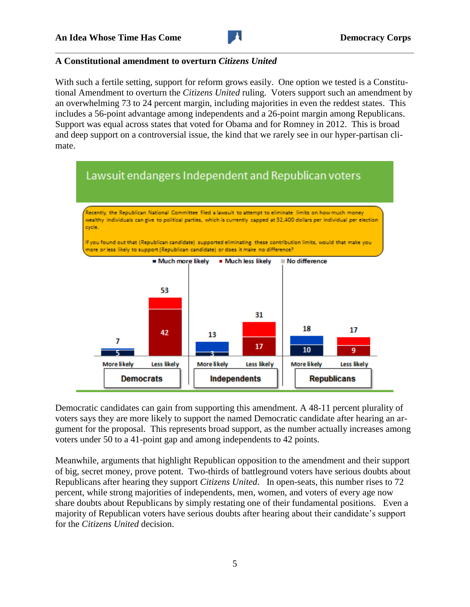

#### **A Constitutional amendment to overturn** *Citizens United*

With such a fertile setting, support for reform grows easily. One option we tested is a Constitutional Amendment to overturn the *Citizens United* ruling. Voters support such an amendment by an overwhelming 73 to 24 percent margin, including majorities in even the reddest states. This includes a 56-point advantage among independents and a 26-point margin among Republicans. Support was equal across states that voted for Obama and for Romney in 2012. This is broad and deep support on a controversial issue, the kind that we rarely see in our hyper-partisan climate.



Democratic candidates can gain from supporting this amendment. A 48-11 percent plurality of voters says they are more likely to support the named Democratic candidate after hearing an argument for the proposal. This represents broad support, as the number actually increases among voters under 50 to a 41-point gap and among independents to 42 points.

Meanwhile, arguments that highlight Republican opposition to the amendment and their support of big, secret money, prove potent. Two-thirds of battleground voters have serious doubts about Republicans after hearing they support *Citizens United*. In open-seats, this number rises to 72 percent, while strong majorities of independents, men, women, and voters of every age now share doubts about Republicans by simply restating one of their fundamental positions. Even a majority of Republican voters have serious doubts after hearing about their candidate's support for the *Citizens United* decision.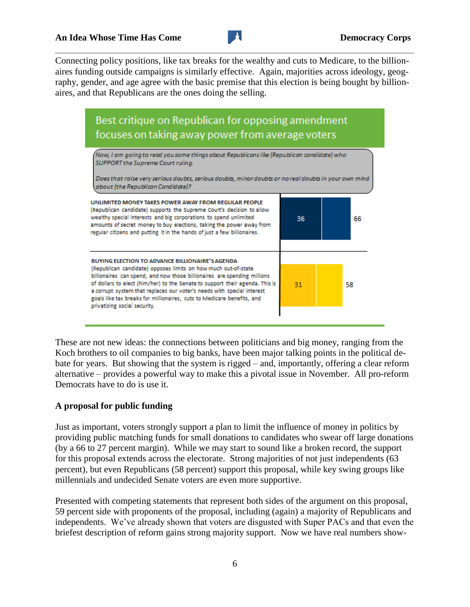Connecting policy positions, like tax breaks for the wealthy and cuts to Medicare, to the billionaires funding outside campaigns is similarly effective. Again, majorities across ideology, geography, gender, and age agree with the basic premise that this election is being bought by billionaires, and that Republicans are the ones doing the selling.



These are not new ideas: the connections between politicians and big money, ranging from the Koch brothers to oil companies to big banks, have been major talking points in the political debate for years. But showing that the system is rigged – and, importantly, offering a clear reform alternative – provides a powerful way to make this a pivotal issue in November. All pro-reform Democrats have to do is use it.

# **A proposal for public funding**

Just as important, voters strongly support a plan to limit the influence of money in politics by providing public matching funds for small donations to candidates who swear off large donations (by a 66 to 27 percent margin). While we may start to sound like a broken record, the support for this proposal extends across the electorate. Strong majorities of not just independents (63 percent), but even Republicans (58 percent) support this proposal, while key swing groups like millennials and undecided Senate voters are even more supportive.

Presented with competing statements that represent both sides of the argument on this proposal, 59 percent side with proponents of the proposal, including (again) a majority of Republicans and independents. We've already shown that voters are disgusted with Super PACs and that even the briefest description of reform gains strong majority support. Now we have real numbers show-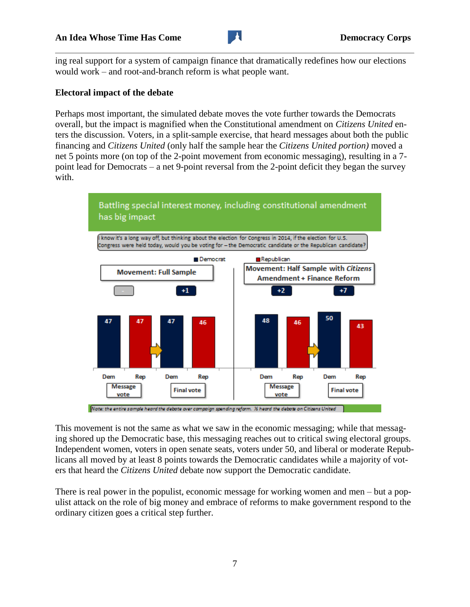

ing real support for a system of campaign finance that dramatically redefines how our elections would work – and root-and-branch reform is what people want.

# **Electoral impact of the debate**

Perhaps most important, the simulated debate moves the vote further towards the Democrats overall, but the impact is magnified when the Constitutional amendment on *Citizens United* enters the discussion. Voters, in a split-sample exercise, that heard messages about both the public financing and *Citizens United* (only half the sample hear the *Citizens United portion)* moved a net 5 points more (on top of the 2-point movement from economic messaging), resulting in a 7 point lead for Democrats – a net 9-point reversal from the 2-point deficit they began the survey with.



This movement is not the same as what we saw in the economic messaging; while that messaging shored up the Democratic base, this messaging reaches out to critical swing electoral groups. Independent women, voters in open senate seats, voters under 50, and liberal or moderate Republicans all moved by at least 8 points towards the Democratic candidates while a majority of voters that heard the *Citizens United* debate now support the Democratic candidate.

There is real power in the populist, economic message for working women and men – but a populist attack on the role of big money and embrace of reforms to make government respond to the ordinary citizen goes a critical step further.